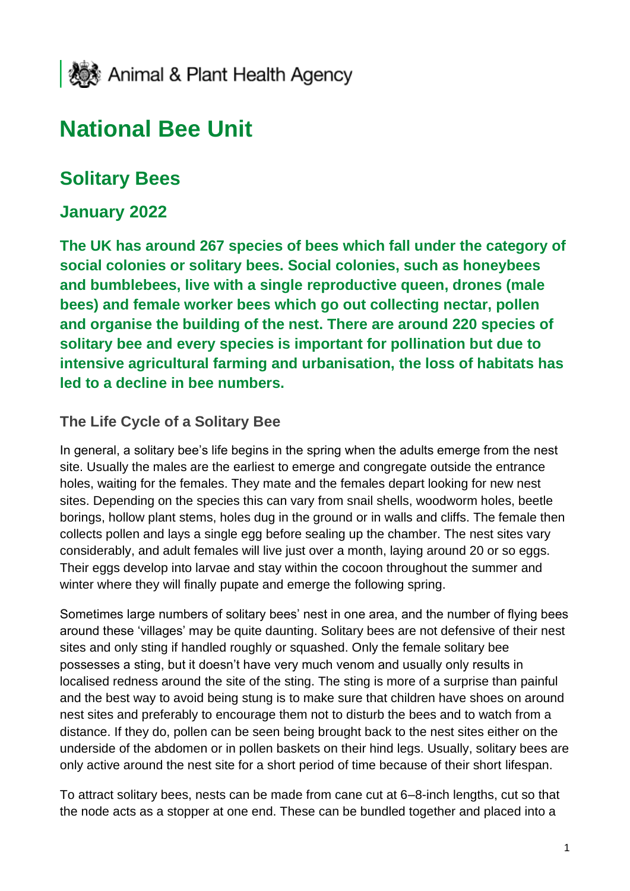

# **National Bee Unit**

## **Solitary Bees**

#### **January 2022**

**The UK has around 267 species of bees which fall under the category of social colonies or solitary bees. Social colonies, such as honeybees and bumblebees, live with a single reproductive queen, drones (male bees) and female worker bees which go out collecting nectar, pollen and organise the building of the nest. There are around 220 species of solitary bee and every species is important for pollination but due to intensive agricultural farming and urbanisation, the loss of habitats has led to a decline in bee numbers.**

#### **The Life Cycle of a Solitary Bee**

In general, a solitary bee's life begins in the spring when the adults emerge from the nest site. Usually the males are the earliest to emerge and congregate outside the entrance holes, waiting for the females. They mate and the females depart looking for new nest sites. Depending on the species this can vary from snail shells, woodworm holes, beetle borings, hollow plant stems, holes dug in the ground or in walls and cliffs. The female then collects pollen and lays a single egg before sealing up the chamber. The nest sites vary considerably, and adult females will live just over a month, laying around 20 or so eggs. Their eggs develop into larvae and stay within the cocoon throughout the summer and winter where they will finally pupate and emerge the following spring.

Sometimes large numbers of solitary bees' nest in one area, and the number of flying bees around these 'villages' may be quite daunting. Solitary bees are not defensive of their nest sites and only sting if handled roughly or squashed. Only the female solitary bee possesses a sting, but it doesn't have very much venom and usually only results in localised redness around the site of the sting. The sting is more of a surprise than painful and the best way to avoid being stung is to make sure that children have shoes on around nest sites and preferably to encourage them not to disturb the bees and to watch from a distance. If they do, pollen can be seen being brought back to the nest sites either on the underside of the abdomen or in pollen baskets on their hind legs. Usually, solitary bees are only active around the nest site for a short period of time because of their short lifespan.

To attract solitary bees, nests can be made from cane cut at 6–8-inch lengths, cut so that the node acts as a stopper at one end. These can be bundled together and placed into a